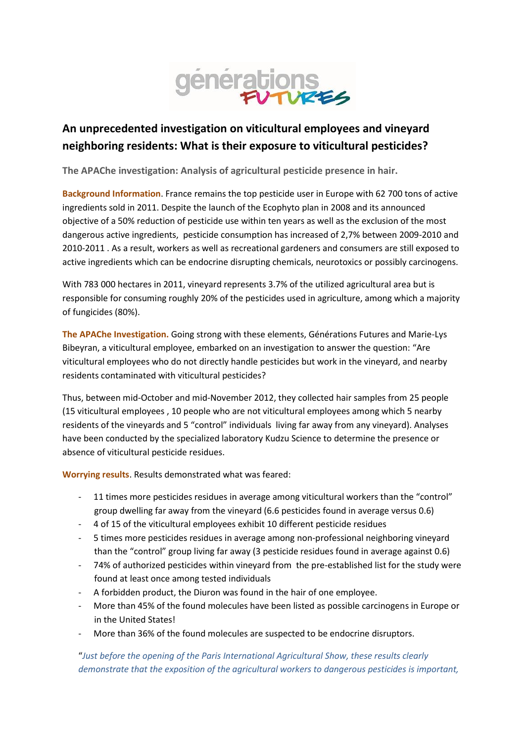

## **An unprecedented investigation on viticultural employees and vineyard neighboring residents: What is their exposure to viticultural pesticides?**

**The APAChe investigation: Analysis of agricultural pesticide presence in hair.**

**Background Information**. France remains the top pesticide user in Europe with 62 700 tons of active ingredients sold in 2011. Despite the launch of the Ecophyto plan in 2008 and its announced objective of a 50% reduction of pesticide use within ten years as well as the exclusion of the most dangerous active ingredients, pesticide consumption has increased of 2,7% between 2009-2010 and 2010-2011 . As a result, workers as well as recreational gardeners and consumers are still exposed to active ingredients which can be endocrine disrupting chemicals, neurotoxics or possibly carcinogens.

With 783 000 hectares in 2011, vineyard represents 3.7% of the utilized agricultural area but is responsible for consuming roughly 20% of the pesticides used in agriculture, among which a majority of fungicides (80%).

**The APAChe Investigation.** Going strong with these elements, Générations Futures and Marie-Lys Bibeyran, a viticultural employee, embarked on an investigation to answer the question: "Are viticultural employees who do not directly handle pesticides but work in the vineyard, and nearby residents contaminated with viticultural pesticides?

Thus, between mid-October and mid-November 2012, they collected hair samples from 25 people (15 viticultural employees , 10 people who are not viticultural employees among which 5 nearby residents of the vineyards and 5 "control" individuals living far away from any vineyard). Analyses have been conducted by the specialized laboratory Kudzu Science to determine the presence or absence of viticultural pesticide residues.

**Worrying results**. Results demonstrated what was feared:

- 11 times more pesticides residues in average among viticultural workers than the "control" group dwelling far away from the vineyard (6.6 pesticides found in average versus 0.6)
- 4 of 15 of the viticultural employees exhibit 10 different pesticide residues
- 5 times more pesticides residues in average among non-professional neighboring vineyard than the "control" group living far away (3 pesticide residues found in average against 0.6)
- 74% of authorized pesticides within vineyard from the pre-established list for the study were found at least once among tested individuals
- A forbidden product, the Diuron was found in the hair of one employee.
- More than 45% of the found molecules have been listed as possible carcinogens in Europe or in the United States!
- More than 36% of the found molecules are suspected to be endocrine disruptors.

"*Just before the opening of the Paris International Agricultural Show, these results clearly demonstrate that the exposition of the agricultural workers to dangerous pesticides is important,*